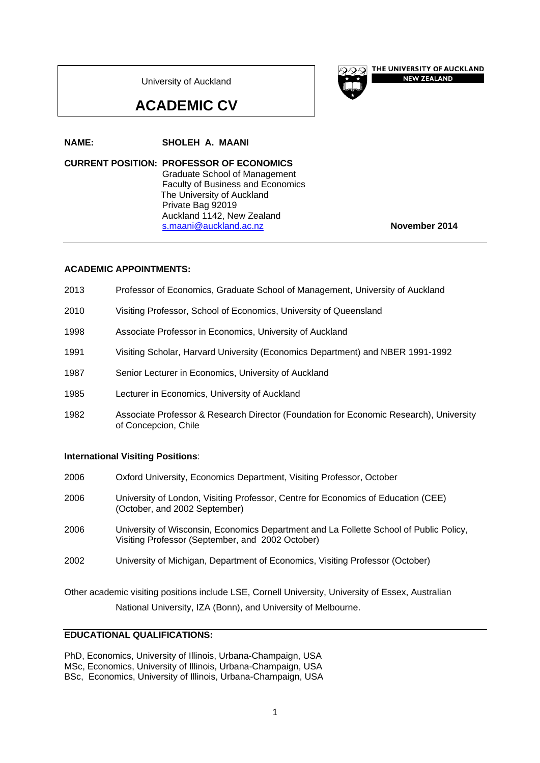University of Auckland

# **ACADEMIC CV**

**NAME: SHOLEH A. MAANI** 

**CURRENT POSITION: PROFESSOR OF ECONOMICS**  Graduate School of Management Faculty of Business and Economics The University of Auckland Private Bag 92019 Auckland 1142, New Zealand s.maani@auckland.ac.nz **November 2014** 

THE UNIVERSITY OF AUCKLAND **NEW ZEALAND** 

# **ACADEMIC APPOINTMENTS:**

- 2013 Professor of Economics, Graduate School of Management, University of Auckland
- 2010 Visiting Professor, School of Economics, University of Queensland
- 1998 Associate Professor in Economics, University of Auckland
- 1991 Visiting Scholar, Harvard University (Economics Department) and NBER 1991-1992
- 1987 Senior Lecturer in Economics, University of Auckland
- 1985 Lecturer in Economics, University of Auckland
- 1982 Associate Professor & Research Director (Foundation for Economic Research), University of Concepcion, Chile

# **International Visiting Positions**:

- 2006 Oxford University, Economics Department, Visiting Professor, October
- 2006 University of London, Visiting Professor, Centre for Economics of Education (CEE) (October, and 2002 September)
- 2006 University of Wisconsin, Economics Department and La Follette School of Public Policy, Visiting Professor (September, and 2002 October)
- 2002 University of Michigan, Department of Economics, Visiting Professor (October)

Other academic visiting positions include LSE, Cornell University, University of Essex, Australian National University, IZA (Bonn), and University of Melbourne.

# **EDUCATIONAL QUALIFICATIONS:**

PhD, Economics, University of Illinois, Urbana-Champaign, USA MSc, Economics, University of Illinois, Urbana-Champaign, USA BSc, Economics, University of Illinois, Urbana-Champaign, USA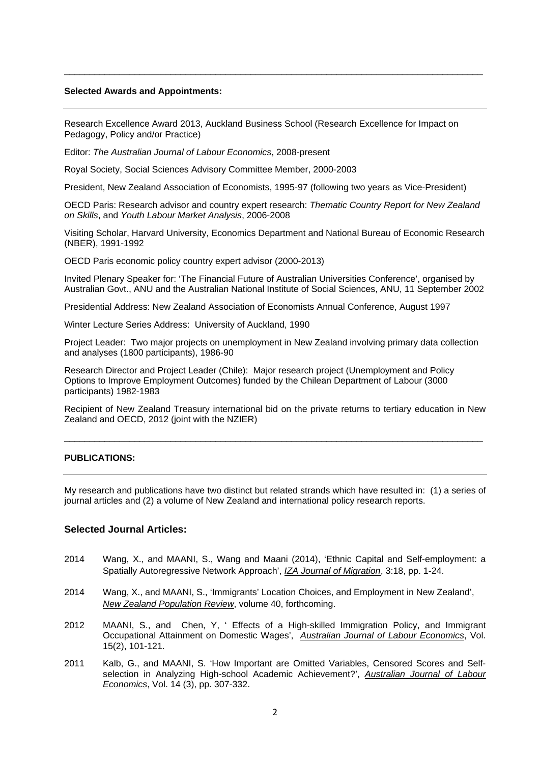## **Selected Awards and Appointments:**

Research Excellence Award 2013, Auckland Business School (Research Excellence for Impact on Pedagogy, Policy and/or Practice)

\_\_\_\_\_\_\_\_\_\_\_\_\_\_\_\_\_\_\_\_\_\_\_\_\_\_\_\_\_\_\_\_\_\_\_\_\_\_\_\_\_\_\_\_\_\_\_\_\_\_\_\_\_\_\_\_\_\_\_\_\_\_\_\_\_\_\_\_\_\_\_\_\_\_\_\_\_\_\_\_\_\_\_

Editor: *The Australian Journal of Labour Economics*, 2008-present

Royal Society, Social Sciences Advisory Committee Member, 2000-2003

President, New Zealand Association of Economists, 1995-97 (following two years as Vice-President)

OECD Paris: Research advisor and country expert research: *Thematic Country Report for New Zealand on Skills*, and *Youth Labour Market Analysis*, 2006-2008

Visiting Scholar, Harvard University, Economics Department and National Bureau of Economic Research (NBER), 1991-1992

OECD Paris economic policy country expert advisor (2000-2013)

Invited Plenary Speaker for: 'The Financial Future of Australian Universities Conference', organised by Australian Govt., ANU and the Australian National Institute of Social Sciences, ANU, 11 September 2002

Presidential Address: New Zealand Association of Economists Annual Conference, August 1997

Winter Lecture Series Address: University of Auckland, 1990

Project Leader: Two major projects on unemployment in New Zealand involving primary data collection and analyses (1800 participants), 1986-90

Research Director and Project Leader (Chile): Major research project (Unemployment and Policy Options to Improve Employment Outcomes) funded by the Chilean Department of Labour (3000 participants) 1982-1983

Recipient of New Zealand Treasury international bid on the private returns to tertiary education in New Zealand and OECD, 2012 (joint with the NZIER)

\_\_\_\_\_\_\_\_\_\_\_\_\_\_\_\_\_\_\_\_\_\_\_\_\_\_\_\_\_\_\_\_\_\_\_\_\_\_\_\_\_\_\_\_\_\_\_\_\_\_\_\_\_\_\_\_\_\_\_\_\_\_\_\_\_\_\_\_\_\_\_\_\_\_\_\_\_\_\_\_\_\_\_

#### **PUBLICATIONS:**

My research and publications have two distinct but related strands which have resulted in: (1) a series of journal articles and (2) a volume of New Zealand and international policy research reports.

# **Selected Journal Articles:**

- 2014 Wang, X., and MAANI, S., Wang and Maani (2014), 'Ethnic Capital and Self-employment: a Spatially Autoregressive Network Approach', *IZA Journal of Migration*, 3:18, pp. 1-24.
- 2014 Wang, X., and MAANI, S., 'Immigrants' Location Choices, and Employment in New Zealand', *New Zealand Population Review*, volume 40, forthcoming.
- 2012 MAANI, S., and Chen, Y, ' Effects of a High-skilled Immigration Policy, and Immigrant Occupational Attainment on Domestic Wages', *Australian Journal of Labour Economics*, Vol. 15(2), 101-121.
- 2011 Kalb, G., and MAANI, S. 'How Important are Omitted Variables, Censored Scores and Selfselection in Analyzing High-school Academic Achievement?', *Australian Journal of Labour Economics*, Vol. 14 (3), pp. 307-332.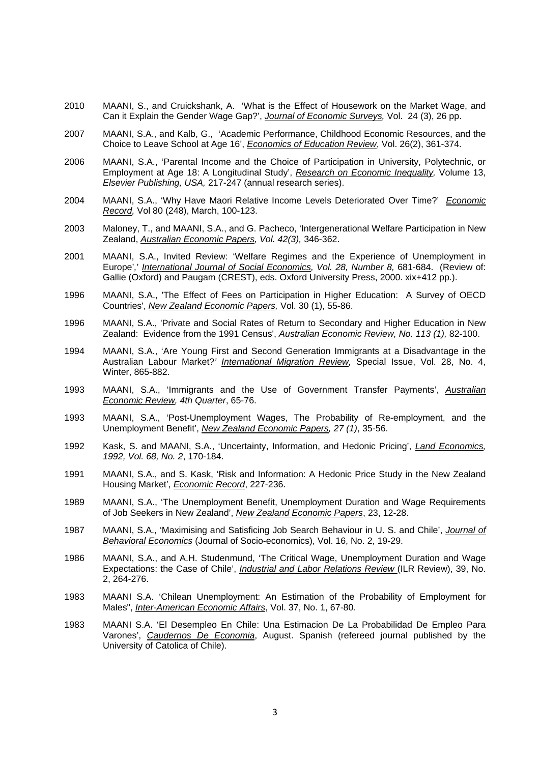- 2010 MAANI, S., and Cruickshank, A. 'What is the Effect of Housework on the Market Wage, and Can it Explain the Gender Wage Gap?', *Journal of Economic Surveys,* Vol. 24 (3), 26 pp.
- 2007 MAANI, S.A., and Kalb, G., 'Academic Performance, Childhood Economic Resources, and the Choice to Leave School at Age 16', *Economics of Education Review*, Vol. 26(2), 361-374.
- 2006 MAANI, S.A., 'Parental Income and the Choice of Participation in University, Polytechnic, or Employment at Age 18: A Longitudinal Study', *Research on Economic Inequality,* Volume 13, *Elsevier Publishing, USA,* 217-247 (annual research series).
- 2004 MAANI, S.A., 'Why Have Maori Relative Income Levels Deteriorated Over Time?' *Economic Record,* Vol 80 (248), March, 100-123.
- 2003 Maloney, T., and MAANI, S.A., and G. Pacheco, 'Intergenerational Welfare Participation in New Zealand, *Australian Economic Papers, Vol. 42(3),* 346-362.
- 2001 MAANI, S.A., Invited Review: 'Welfare Regimes and the Experience of Unemployment in Europe'*,*' *International Journal of Social Economics, Vol. 28, Number 8,* 681-684. (Review of: Gallie (Oxford) and Paugam (CREST), eds. Oxford University Press, 2000. xix+412 pp.).
- 1996 MAANI, S.A., 'The Effect of Fees on Participation in Higher Education: A Survey of OECD Countries', *New Zealand Economic Papers,* Vol. 30 (1), 55-86.
- 1996 MAANI, S.A., 'Private and Social Rates of Return to Secondary and Higher Education in New Zealand: Evidence from the 1991 Census', *Australian Economic Review, No. 113 (1),* 82-100.
- 1994 MAANI, S.A., 'Are Young First and Second Generation Immigrants at a Disadvantage in the Australian Labour Market?*' International Migration Review,* Special Issue, Vol. 28, No. 4, Winter, 865-882.
- 1993 MAANI, S.A., 'Immigrants and the Use of Government Transfer Payments', *Australian Economic Review, 4th Quarter*, 65-76.
- 1993 MAANI, S.A., 'Post-Unemployment Wages, The Probability of Re-employment, and the Unemployment Benefit', *New Zealand Economic Papers, 27 (1)*, 35-56.
- 1992 Kask, S. and MAANI, S.A., 'Uncertainty, Information, and Hedonic Pricing', *Land Economics, 1992, Vol. 68, No. 2*, 170-184.
- 1991 MAANI, S.A., and S. Kask, 'Risk and Information: A Hedonic Price Study in the New Zealand Housing Market', *Economic Record*, 227-236.
- 1989 MAANI, S.A., 'The Unemployment Benefit, Unemployment Duration and Wage Requirements of Job Seekers in New Zealand', *New Zealand Economic Papers*, 23, 12-28.
- 1987 MAANI, S.A., 'Maximising and Satisficing Job Search Behaviour in U. S. and Chile', *Journal of Behavioral Economics* (Journal of Socio-economics), Vol. 16, No. 2, 19-29.
- 1986 MAANI, S.A., and A.H. Studenmund, 'The Critical Wage, Unemployment Duration and Wage Expectations: the Case of Chile', *Industrial and Labor Relations Review* (ILR Review), 39, No. 2, 264-276.
- 1983 MAANI S.A. 'Chilean Unemployment: An Estimation of the Probability of Employment for Males", *Inter-American Economic Affairs*, Vol. 37, No. 1, 67-80.
- 1983 MAANI S.A. 'El Desempleo En Chile: Una Estimacion De La Probabilidad De Empleo Para Varones', *Caudernos De Economia*, August. Spanish (refereed journal published by the University of Catolica of Chile).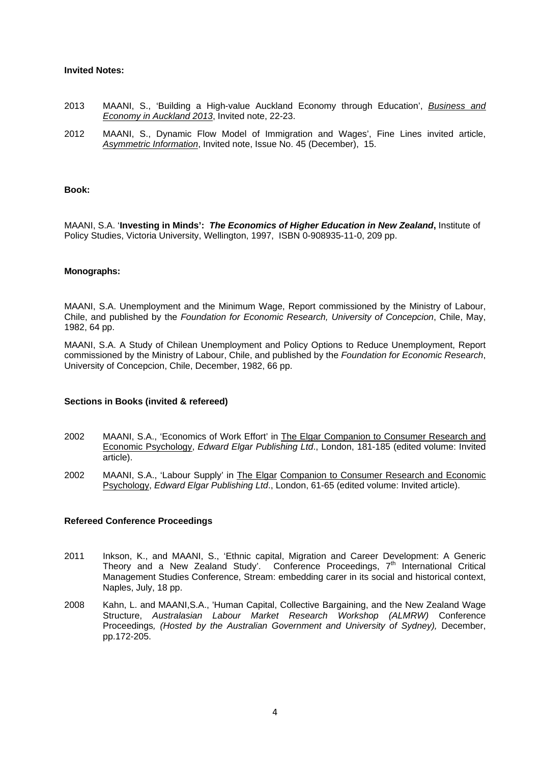## **Invited Notes:**

- 2013 MAANI, S., 'Building a High-value Auckland Economy through Education', *Business and Economy in Auckland 2013*, Invited note, 22-23.
- 2012 MAANI, S., Dynamic Flow Model of Immigration and Wages', Fine Lines invited article, *Asymmetric Information*, Invited note, Issue No. 45 (December), 15.

#### **Book:**

MAANI, S.A. '**Investing in Minds':** *The Economics of Higher Education in New Zealand***,** Institute of Policy Studies, Victoria University, Wellington, 1997, ISBN 0-908935-11-0, 209 pp.

#### **Monographs:**

MAANI, S.A. Unemployment and the Minimum Wage, Report commissioned by the Ministry of Labour, Chile, and published by the *Foundation for Economic Research, University of Concepcion*, Chile, May, 1982, 64 pp.

MAANI, S.A. A Study of Chilean Unemployment and Policy Options to Reduce Unemployment, Report commissioned by the Ministry of Labour, Chile, and published by the *Foundation for Economic Research*, University of Concepcion, Chile, December, 1982, 66 pp.

## **Sections in Books (invited & refereed)**

- 2002 MAANI, S.A., 'Economics of Work Effort' in The Elgar Companion to Consumer Research and Economic Psychology, *Edward Elgar Publishing Ltd*., London, 181-185 (edited volume: Invited article).
- 2002 MAANI, S.A., 'Labour Supply' in The Elgar Companion to Consumer Research and Economic Psychology, *Edward Elgar Publishing Ltd*., London, 61-65 (edited volume: Invited article).

#### **Refereed Conference Proceedings**

- 2011 Inkson, K., and MAANI, S., 'Ethnic capital, Migration and Career Development: A Generic Theory and a New Zealand Study'. Conference Proceedings,  $7<sup>th</sup>$  International Critical Management Studies Conference, Stream: embedding carer in its social and historical context, Naples, July, 18 pp.
- 2008 Kahn, L. and MAANI,S.A., 'Human Capital, Collective Bargaining, and the New Zealand Wage Structure, *Australasian Labour Market Research Workshop (ALMRW)* Conference Proceedings, (Hosted by the Australian Government and University of Sydney), December, pp.172-205.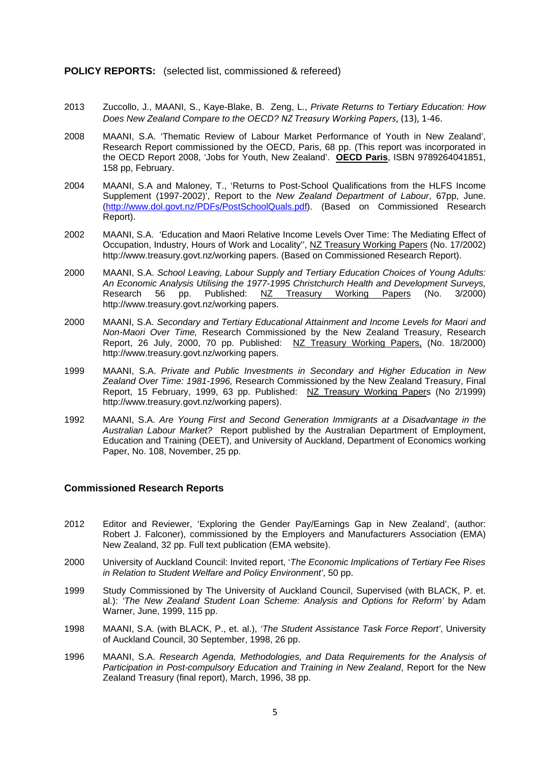## **POLICY REPORTS:** (selected list, commissioned & refereed)

- 2013 Zuccollo, J., MAANI, S., Kaye-Blake, B. Zeng, L., *Private Returns to Tertiary Education: How Does New Zealand Compare to the OECD? NZ Treasury Working Papers*, (13), 1‐46.
- 2008 MAANI, S.A. 'Thematic Review of Labour Market Performance of Youth in New Zealand', Research Report commissioned by the OECD, Paris, 68 pp. (This report was incorporated in the OECD Report 2008, 'Jobs for Youth, New Zealand'. **OECD Paris**, ISBN 9789264041851, 158 pp, February.
- 2004 MAANI, S.A and Maloney, T., 'Returns to Post-School Qualifications from the HLFS Income Supplement (1997-2002)', Report to the *New Zealand Department of Labour*, 67pp, June. (http://www.dol.govt.nz/PDFs/PostSchoolQuals.pdf). (Based on Commissioned Research Report).
- 2002 MAANI, S.A. 'Education and Maori Relative Income Levels Over Time: The Mediating Effect of Occupation, Industry, Hours of Work and Locality'', NZ Treasury Working Papers (No. 17/2002) http://www.treasury.govt.nz/working papers. (Based on Commissioned Research Report).
- 2000 MAANI, S.A. *School Leaving, Labour Supply and Tertiary Education Choices of Young Adults: An Economic Analysis Utilising the 1977-1995 Christchurch Health and Development Surveys,*  Research 56 pp. Published: NZ Treasury Working Papers (No. 3/2000) http://www.treasury.govt.nz/working papers.
- 2000 MAANI, S.A. *Secondary and Tertiary Educational Attainment and Income Levels for Maori and Non-Maori Over Time,* Research Commissioned by the New Zealand Treasury, Research Report, 26 July, 2000, 70 pp. Published: NZ Treasury Working Papers, (No. 18/2000) http://www.treasury.govt.nz/working papers.
- 1999 MAANI, S.A. *Private and Public Investments in Secondary and Higher Education in New Zealand Over Time: 1981-1996,* Research Commissioned by the New Zealand Treasury, Final Report, 15 February, 1999, 63 pp. Published: NZ Treasury Working Papers (No 2/1999) http://www.treasury.govt.nz/working papers).
- 1992 MAANI, S.A. *Are Young First and Second Generation Immigrants at a Disadvantage in the Australian Labour Market?* Report published by the Australian Department of Employment, Education and Training (DEET), and University of Auckland, Department of Economics working Paper, No. 108, November, 25 pp.

# **Commissioned Research Reports**

- 2012 Editor and Reviewer, 'Exploring the Gender Pay/Earnings Gap in New Zealand', (author: Robert J. Falconer), commissioned by the Employers and Manufacturers Association (EMA) New Zealand, 32 pp. Full text publication (EMA website).
- 2000 University of Auckland Council: Invited report, '*The Economic Implications of Tertiary Fee Rises in Relation to Student Welfare and Policy Environment'*, 50 pp.
- 1999 Study Commissioned by The University of Auckland Council, Supervised (with BLACK, P. et. al.): *'The New Zealand Student Loan Scheme: Analysis and Options for Reform'* by Adam Warner, June, 1999, 115 pp.
- 1998 MAANI, S.A. (with BLACK, P., et. al.), *'The Student Assistance Task Force Report'*, University of Auckland Council, 30 September, 1998, 26 pp.
- 1996 MAANI, S.A. *Research Agenda, Methodologies, and Data Requirements for the Analysis of Participation in Post-compulsory Education and Training in New Zealand*, Report for the New Zealand Treasury (final report), March, 1996, 38 pp.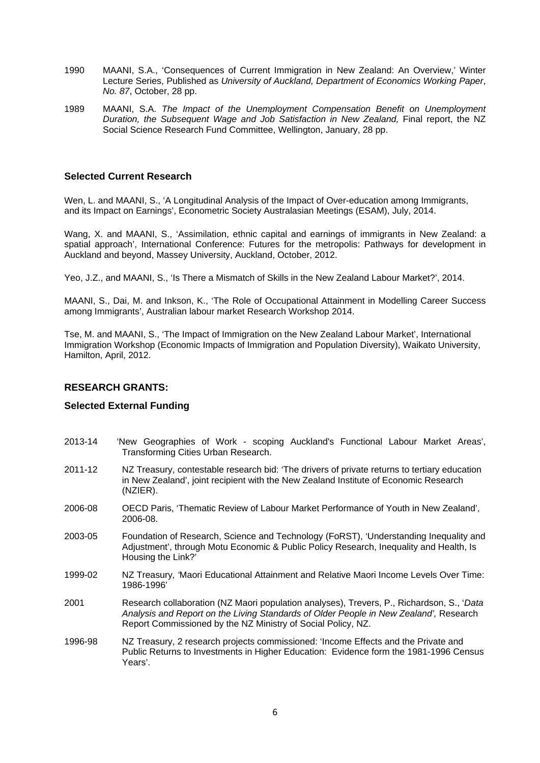- 1990 MAANI, S.A., 'Consequences of Current Immigration in New Zealand: An Overview,' Winter Lecture Series, Published as *University of Auckland, Department of Economics Working Paper*, *No. 87*, October, 28 pp.
- 1989 MAANI, S.A. *The Impact of the Unemployment Compensation Benefit on Unemployment Duration, the Subsequent Wage and Job Satisfaction in New Zealand,* Final report, the NZ Social Science Research Fund Committee, Wellington, January, 28 pp.

# **Selected Current Research**

Wen, L. and MAANI, S., 'A Longitudinal Analysis of the Impact of Over-education among Immigrants, and its Impact on Earnings', Econometric Society Australasian Meetings (ESAM), July, 2014.

Wang, X. and MAANI, S., 'Assimilation, ethnic capital and earnings of immigrants in New Zealand: a spatial approach', International Conference: Futures for the metropolis: Pathways for development in Auckland and beyond, Massey University, Auckland, October, 2012.

Yeo, J.Z., and MAANI, S., 'Is There a Mismatch of Skills in the New Zealand Labour Market?', 2014.

MAANI, S., Dai, M. and Inkson, K., 'The Role of Occupational Attainment in Modelling Career Success among Immigrants', Australian labour market Research Workshop 2014.

Tse, M. and MAANI, S., 'The Impact of Immigration on the New Zealand Labour Market', International Immigration Workshop (Economic Impacts of Immigration and Population Diversity), Waikato University, Hamilton, April, 2012.

## **RESEARCH GRANTS:**

## **Selected External Funding**

- 2013-14 'New Geographies of Work scoping Auckland's Functional Labour Market Areas', Transforming Cities Urban Research.
- 2011-12 NZ Treasury, contestable research bid: 'The drivers of private returns to tertiary education in New Zealand', joint recipient with the New Zealand Institute of Economic Research (NZIER).
- 2006-08 OECD Paris, 'Thematic Review of Labour Market Performance of Youth in New Zealand', 2006-08.
- 2003-05 Foundation of Research, Science and Technology (FoRST), 'Understanding Inequality and Adjustment', through Motu Economic & Public Policy Research, Inequality and Health, Is Housing the Link?'
- 1999-02 NZ Treasury*, '*Maori Educational Attainment and Relative Maori Income Levels Over Time: 1986-1996'
- 2001 Research collaboration (NZ Maori population analyses), Trevers, P., Richardson, S., '*Data*  Analysis and Report on the Living Standards of Older People in New Zealand', Research Report Commissioned by the NZ Ministry of Social Policy, NZ.
- 1996-98 NZ Treasury, 2 research projects commissioned: 'Income Effects and the Private and Public Returns to Investments in Higher Education: Evidence form the 1981-1996 Census Years'.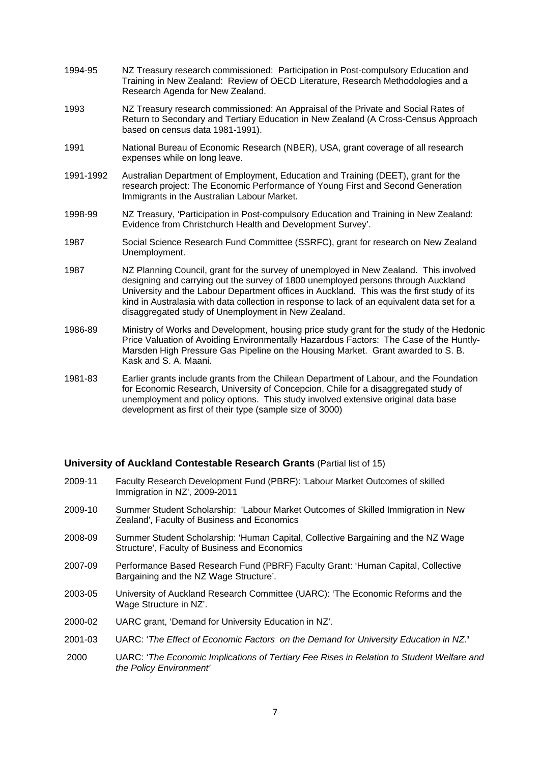- 1994-95 NZ Treasury research commissioned: Participation in Post-compulsory Education and Training in New Zealand: Review of OECD Literature, Research Methodologies and a Research Agenda for New Zealand.
- 1993 NZ Treasury research commissioned: An Appraisal of the Private and Social Rates of Return to Secondary and Tertiary Education in New Zealand (A Cross-Census Approach based on census data 1981-1991).
- 1991 National Bureau of Economic Research (NBER), USA, grant coverage of all research expenses while on long leave.
- 1991-1992 Australian Department of Employment, Education and Training (DEET), grant for the research project: The Economic Performance of Young First and Second Generation Immigrants in the Australian Labour Market.
- 1998-99 NZ Treasury, 'Participation in Post-compulsory Education and Training in New Zealand: Evidence from Christchurch Health and Development Survey'.
- 1987 Social Science Research Fund Committee (SSRFC), grant for research on New Zealand Unemployment.
- 1987 NZ Planning Council, grant for the survey of unemployed in New Zealand. This involved designing and carrying out the survey of 1800 unemployed persons through Auckland University and the Labour Department offices in Auckland. This was the first study of its kind in Australasia with data collection in response to lack of an equivalent data set for a disaggregated study of Unemployment in New Zealand.
- 1986-89 Ministry of Works and Development, housing price study grant for the study of the Hedonic Price Valuation of Avoiding Environmentally Hazardous Factors: The Case of the Huntly-Marsden High Pressure Gas Pipeline on the Housing Market. Grant awarded to S. B. Kask and S. A. Maani.
- 1981-83 Earlier grants include grants from the Chilean Department of Labour, and the Foundation for Economic Research, University of Concepcion, Chile for a disaggregated study of unemployment and policy options. This study involved extensive original data base development as first of their type (sample size of 3000)

## **University of Auckland Contestable Research Grants** (Partial list of 15)

- 2009-11 Faculty Research Development Fund (PBRF): 'Labour Market Outcomes of skilled Immigration in NZ', 2009-2011
- 2009-10 Summer Student Scholarship: 'Labour Market Outcomes of Skilled Immigration in New Zealand', Faculty of Business and Economics
- 2008-09 Summer Student Scholarship: 'Human Capital, Collective Bargaining and the NZ Wage Structure', Faculty of Business and Economics
- 2007-09 Performance Based Research Fund (PBRF) Faculty Grant: 'Human Capital, Collective Bargaining and the NZ Wage Structure'.
- 2003-05 University of Auckland Research Committee (UARC): 'The Economic Reforms and the Wage Structure in NZ'.
- 2000-02 UARC grant, 'Demand for University Education in NZ'.
- 2001-03 UARC: '*The Effect of Economic Factors on the Demand for University Education in NZ*.**'**
- 2000 UARC: '*The Economic Implications of Tertiary Fee Rises in Relation to Student Welfare and the Policy Environment'*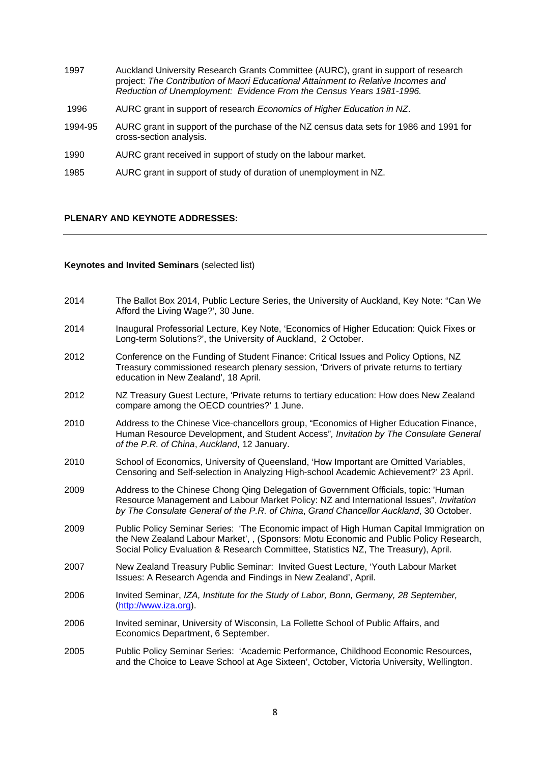- 1997 Auckland University Research Grants Committee (AURC), grant in support of research project: *The Contribution of Maori Educational Attainment to Relative Incomes and Reduction of Unemployment: Evidence From the Census Years 1981-1996.*
- 1996 AURC grant in support of research *Economics of Higher Education in NZ*.
- 1994-95 AURC grant in support of the purchase of the NZ census data sets for 1986 and 1991 for cross-section analysis.
- 1990 AURC grant received in support of study on the labour market.
- 1985 AURC grant in support of study of duration of unemployment in NZ.

# **PLENARY AND KEYNOTE ADDRESSES:**

## **Keynotes and Invited Seminars** (selected list)

- 2014 The Ballot Box 2014, Public Lecture Series, the University of Auckland, Key Note: "Can We Afford the Living Wage?', 30 June.
- 2014 Inaugural Professorial Lecture, Key Note, 'Economics of Higher Education: Quick Fixes or Long-term Solutions?', the University of Auckland, 2 October.
- 2012 Conference on the Funding of Student Finance: Critical Issues and Policy Options, NZ Treasury commissioned research plenary session, 'Drivers of private returns to tertiary education in New Zealand', 18 April.
- 2012 NZ Treasury Guest Lecture, 'Private returns to tertiary education: How does New Zealand compare among the OECD countries?' 1 June.
- 2010 Address to the Chinese Vice-chancellors group, "Economics of Higher Education Finance, Human Resource Development, and Student Access"*, Invitation by The Consulate General of the P.R. of China*, *Auckland*, 12 January.
- 2010 School of Economics, University of Queensland, 'How Important are Omitted Variables, Censoring and Self-selection in Analyzing High-school Academic Achievement?' 23 April.
- 2009 Address to the Chinese Chong Qing Delegation of Government Officials, topic: 'Human Resource Management and Labour Market Policy: NZ and International Issues'', *Invitation by The Consulate General of the P.R. of China*, *Grand Chancellor Auckland*, 30 October.
- 2009 Public Policy Seminar Series: 'The Economic impact of High Human Capital Immigration on the New Zealand Labour Market', , (Sponsors: Motu Economic and Public Policy Research, Social Policy Evaluation & Research Committee, Statistics NZ, The Treasury), April.
- 2007 New Zealand Treasury Public Seminar: Invited Guest Lecture, 'Youth Labour Market Issues: A Research Agenda and Findings in New Zealand', April.
- 2006 Invited Seminar, *IZA, Institute for the Study of Labor, Bonn, Germany, 28 September,*  (http://www.iza.org).
- 2006 Invited seminar, University of Wisconsin*,* La Follette School of Public Affairs, and Economics Department, 6 September.
- 2005 Public Policy Seminar Series: 'Academic Performance, Childhood Economic Resources, and the Choice to Leave School at Age Sixteen', October, Victoria University, Wellington.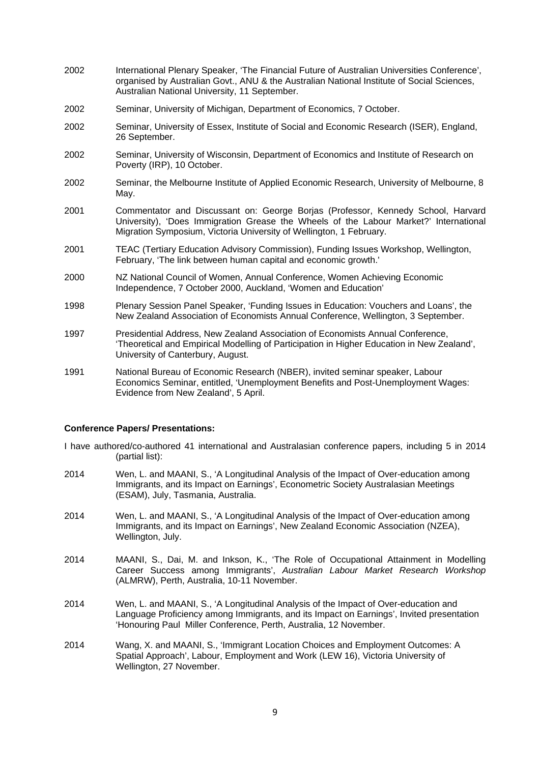- 2002 International Plenary Speaker, 'The Financial Future of Australian Universities Conference', organised by Australian Govt., ANU & the Australian National Institute of Social Sciences, Australian National University, 11 September.
- 2002 Seminar, University of Michigan, Department of Economics, 7 October.
- 2002 Seminar, University of Essex, Institute of Social and Economic Research (ISER), England, 26 September.
- 2002 Seminar, University of Wisconsin, Department of Economics and Institute of Research on Poverty (IRP), 10 October.
- 2002 Seminar, the Melbourne Institute of Applied Economic Research, University of Melbourne, 8 May.
- 2001 Commentator and Discussant on: George Borjas (Professor, Kennedy School, Harvard University), 'Does Immigration Grease the Wheels of the Labour Market?' International Migration Symposium, Victoria University of Wellington, 1 February.
- 2001 TEAC (Tertiary Education Advisory Commission), Funding Issues Workshop, Wellington, February, 'The link between human capital and economic growth.'
- 2000 NZ National Council of Women, Annual Conference, Women Achieving Economic Independence, 7 October 2000, Auckland, 'Women and Education'
- 1998 Plenary Session Panel Speaker, 'Funding Issues in Education: Vouchers and Loans', the New Zealand Association of Economists Annual Conference, Wellington, 3 September.
- 1997 Presidential Address, New Zealand Association of Economists Annual Conference, 'Theoretical and Empirical Modelling of Participation in Higher Education in New Zealand', University of Canterbury, August.
- 1991 National Bureau of Economic Research (NBER), invited seminar speaker, Labour Economics Seminar, entitled, 'Unemployment Benefits and Post-Unemployment Wages: Evidence from New Zealand', 5 April.

#### **Conference Papers/ Presentations:**

- I have authored/co-authored 41 international and Australasian conference papers, including 5 in 2014 (partial list):
- 2014 Wen, L. and MAANI, S., 'A Longitudinal Analysis of the Impact of Over-education among Immigrants, and its Impact on Earnings', Econometric Society Australasian Meetings (ESAM), July, Tasmania, Australia.
- 2014 Wen, L. and MAANI, S., 'A Longitudinal Analysis of the Impact of Over-education among Immigrants, and its Impact on Earnings', New Zealand Economic Association (NZEA), Wellington, July.
- 2014 MAANI, S., Dai, M. and Inkson, K., 'The Role of Occupational Attainment in Modelling Career Success among Immigrants', *Australian Labour Market Research Workshop* (ALMRW), Perth, Australia, 10-11 November.
- 2014 Wen, L. and MAANI, S., 'A Longitudinal Analysis of the Impact of Over-education and Language Proficiency among Immigrants, and its Impact on Earnings', Invited presentation 'Honouring Paul Miller Conference, Perth, Australia, 12 November.
- 2014 Wang, X. and MAANI, S., 'Immigrant Location Choices and Employment Outcomes: A Spatial Approach', Labour, Employment and Work (LEW 16), Victoria University of Wellington, 27 November.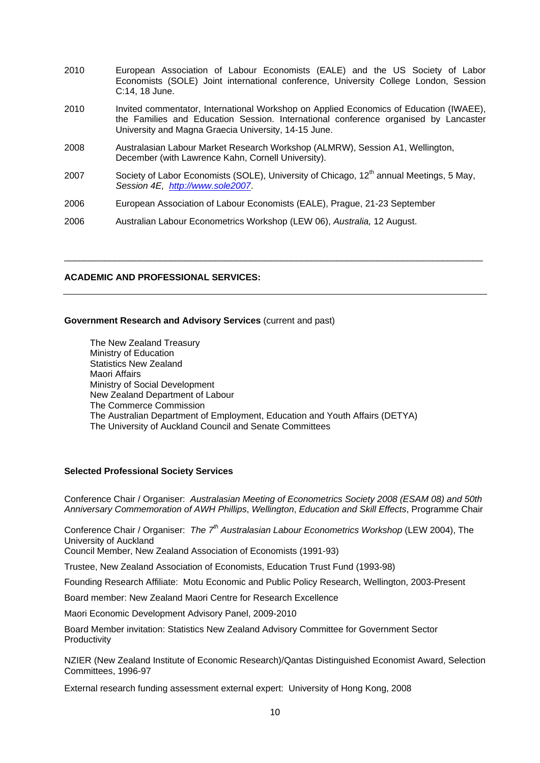| 2010 | European Association of Labour Economists (EALE) and the US Society of Labor<br>Economists (SOLE) Joint international conference, University College London, Session<br>C:14, 18 June.                                                |
|------|---------------------------------------------------------------------------------------------------------------------------------------------------------------------------------------------------------------------------------------|
| 2010 | Invited commentator, International Workshop on Applied Economics of Education (IWAEE),<br>the Families and Education Session. International conference organised by Lancaster<br>University and Magna Graecia University, 14-15 June. |
| 2008 | Australasian Labour Market Research Workshop (ALMRW), Session A1, Wellington,<br>December (with Lawrence Kahn, Cornell University).                                                                                                   |
| 2007 | Society of Labor Economists (SOLE), University of Chicago, 12 <sup>th</sup> annual Meetings, 5 May,<br>Session 4E, http://www.sole2007.                                                                                               |
| 2006 | European Association of Labour Economists (EALE), Prague, 21-23 September                                                                                                                                                             |
| 2006 | Australian Labour Econometrics Workshop (LEW 06), Australia, 12 August.                                                                                                                                                               |

\_\_\_\_\_\_\_\_\_\_\_\_\_\_\_\_\_\_\_\_\_\_\_\_\_\_\_\_\_\_\_\_\_\_\_\_\_\_\_\_\_\_\_\_\_\_\_\_\_\_\_\_\_\_\_\_\_\_\_\_\_\_\_\_\_\_\_\_\_\_\_\_\_\_\_\_\_\_\_\_\_\_\_

## **ACADEMIC AND PROFESSIONAL SERVICES:**

#### **Government Research and Advisory Services** (current and past)

The New Zealand Treasury Ministry of Education Statistics New Zealand Maori Affairs Ministry of Social Development New Zealand Department of Labour The Commerce Commission The Australian Department of Employment, Education and Youth Affairs (DETYA) The University of Auckland Council and Senate Committees

## **Selected Professional Society Services**

Conference Chair / Organiser: *Australasian Meeting of Econometrics Society 2008 (ESAM 08) and 50th Anniversary Commemoration of AWH Phillips*, *Wellington*, *Education and Skill Effects*, Programme Chair

Conference Chair / Organiser: *The 7th Australasian Labour Econometrics Workshop* (LEW 2004), The University of Auckland

Council Member, New Zealand Association of Economists (1991-93)

Trustee, New Zealand Association of Economists, Education Trust Fund (1993-98)

Founding Research Affiliate: Motu Economic and Public Policy Research, Wellington, 2003-Present

Board member: New Zealand Maori Centre for Research Excellence

Maori Economic Development Advisory Panel, 2009-2010

Board Member invitation: Statistics New Zealand Advisory Committee for Government Sector Productivity

NZIER (New Zealand Institute of Economic Research)/Qantas Distinguished Economist Award, Selection Committees, 1996-97

External research funding assessment external expert: University of Hong Kong, 2008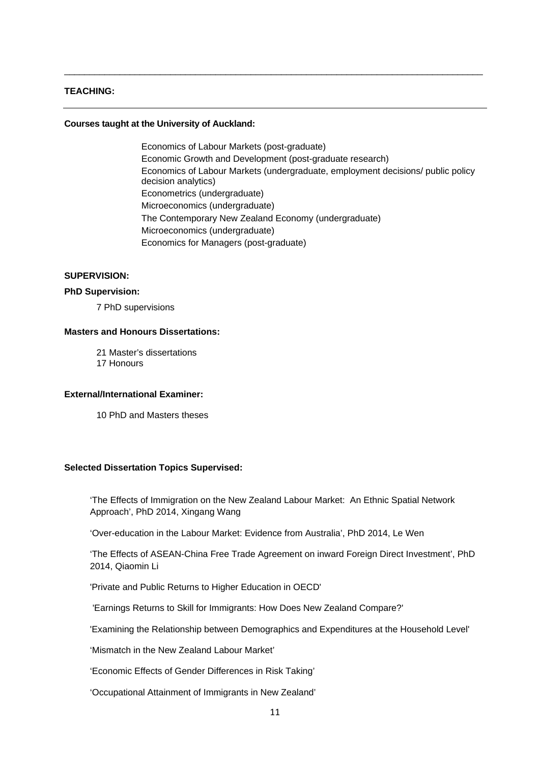# **TEACHING:**

#### **Courses taught at the University of Auckland:**

 Economics of Labour Markets (post-graduate) Economic Growth and Development (post-graduate research) Economics of Labour Markets (undergraduate, employment decisions/ public policy decision analytics) Econometrics (undergraduate) Microeconomics (undergraduate) The Contemporary New Zealand Economy (undergraduate) Microeconomics (undergraduate) Economics for Managers (post-graduate)

\_\_\_\_\_\_\_\_\_\_\_\_\_\_\_\_\_\_\_\_\_\_\_\_\_\_\_\_\_\_\_\_\_\_\_\_\_\_\_\_\_\_\_\_\_\_\_\_\_\_\_\_\_\_\_\_\_\_\_\_\_\_\_\_\_\_\_\_\_\_\_\_\_\_\_\_\_\_\_\_\_\_\_

#### **SUPERVISION:**

## **PhD Supervision:**

7 PhD supervisions

## **Masters and Honours Dissertations:**

 21 Master's dissertations 17 Honours

## **External/International Examiner:**

10 PhD and Masters theses

## **Selected Dissertation Topics Supervised:**

'The Effects of Immigration on the New Zealand Labour Market: An Ethnic Spatial Network Approach', PhD 2014, Xingang Wang

'Over-education in the Labour Market: Evidence from Australia', PhD 2014, Le Wen

'The Effects of ASEAN-China Free Trade Agreement on inward Foreign Direct Investment', PhD 2014, Qiaomin Li

'Private and Public Returns to Higher Education in OECD'

'Earnings Returns to Skill for Immigrants: How Does New Zealand Compare?'

'Examining the Relationship between Demographics and Expenditures at the Household Level'

'Mismatch in the New Zealand Labour Market'

'Economic Effects of Gender Differences in Risk Taking'

'Occupational Attainment of Immigrants in New Zealand'